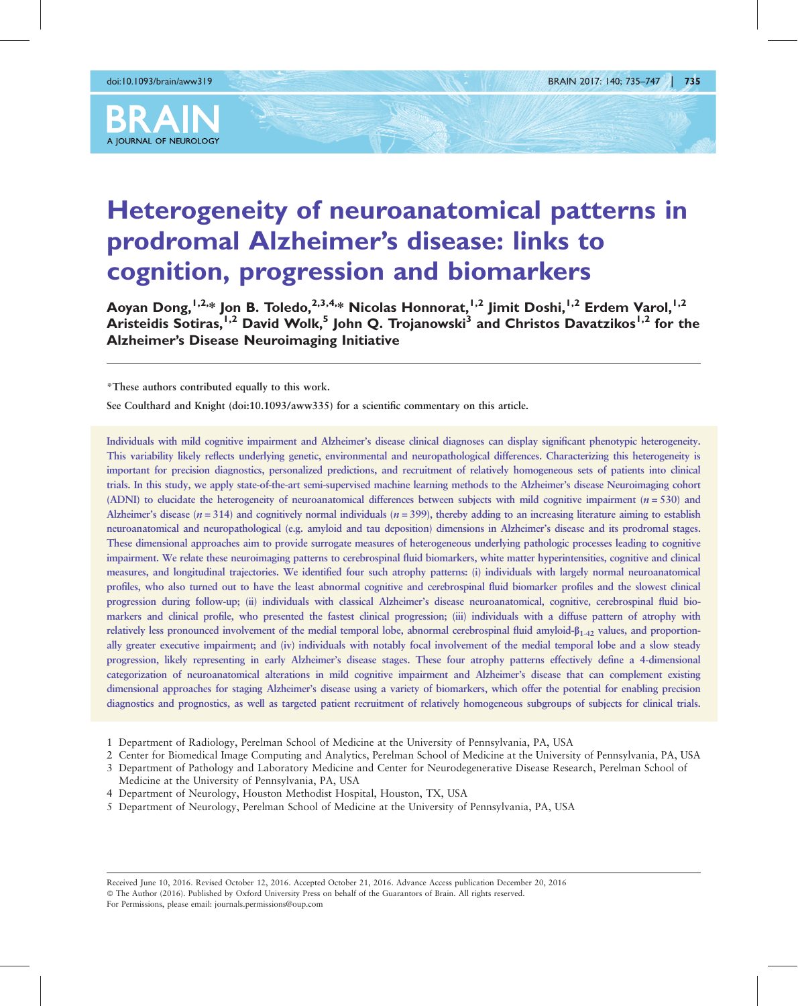

# Heterogeneity of neuroanatomical patterns in prodromal Alzheimer's disease: links to cognition, progression and biomarkers

Aoyan Dong,  $1,2,4$  Jon B. Toledo,  $2,3,4,4$  Nicolas Honnorat,  $1,2$  Jimit Doshi,  $1,2$  Erdem Varol,  $1,2$ Aristeidis Sotiras,<sup>1,2</sup> David Wolk,<sup>5</sup> John Q. Trojanowski<sup>3</sup> and Christos Davatzikos<sup>1,2</sup> for the Alzheimer's Disease Neuroimaging Initiative

\*These authors contributed equally to this work.

See Coulthard and Knight (doi:10.1093/aww335) for a scientific commentary on this article.

Individuals with mild cognitive impairment and Alzheimer's disease clinical diagnoses can display significant phenotypic heterogeneity. This variability likely reflects underlying genetic, environmental and neuropathological differences. Characterizing this heterogeneity is important for precision diagnostics, personalized predictions, and recruitment of relatively homogeneous sets of patients into clinical trials. In this study, we apply state-of-the-art semi-supervised machine learning methods to the Alzheimer's disease Neuroimaging cohort (ADNI) to elucidate the heterogeneity of neuroanatomical differences between subjects with mild cognitive impairment ( $n = 530$ ) and Alzheimer's disease ( $n = 314$ ) and cognitively normal individuals ( $n = 399$ ), thereby adding to an increasing literature aiming to establish neuroanatomical and neuropathological (e.g. amyloid and tau deposition) dimensions in Alzheimer's disease and its prodromal stages. These dimensional approaches aim to provide surrogate measures of heterogeneous underlying pathologic processes leading to cognitive impairment. We relate these neuroimaging patterns to cerebrospinal fluid biomarkers, white matter hyperintensities, cognitive and clinical measures, and longitudinal trajectories. We identified four such atrophy patterns: (i) individuals with largely normal neuroanatomical profiles, who also turned out to have the least abnormal cognitive and cerebrospinal fluid biomarker profiles and the slowest clinical progression during follow-up; (ii) individuals with classical Alzheimer's disease neuroanatomical, cognitive, cerebrospinal fluid biomarkers and clinical profile, who presented the fastest clinical progression; (iii) individuals with a diffuse pattern of atrophy with relatively less pronounced involvement of the medial temporal lobe, abnormal cerebrospinal fluid amyloid- $\beta_{1-42}$  values, and proportionally greater executive impairment; and (iv) individuals with notably focal involvement of the medial temporal lobe and a slow steady progression, likely representing in early Alzheimer's disease stages. These four atrophy patterns effectively define a 4-dimensional categorization of neuroanatomical alterations in mild cognitive impairment and Alzheimer's disease that can complement existing dimensional approaches for staging Alzheimer's disease using a variety of biomarkers, which offer the potential for enabling precision diagnostics and prognostics, as well as targeted patient recruitment of relatively homogeneous subgroups of subjects for clinical trials.

1 Department of Radiology, Perelman School of Medicine at the University of Pennsylvania, PA, USA

- 2 Center for Biomedical Image Computing and Analytics, Perelman School of Medicine at the University of Pennsylvania, PA, USA
- 3 Department of Pathology and Laboratory Medicine and Center for Neurodegenerative Disease Research, Perelman School of Medicine at the University of Pennsylvania, PA, USA
- 4 Department of Neurology, Houston Methodist Hospital, Houston, TX, USA
- 5 Department of Neurology, Perelman School of Medicine at the University of Pennsylvania, PA, USA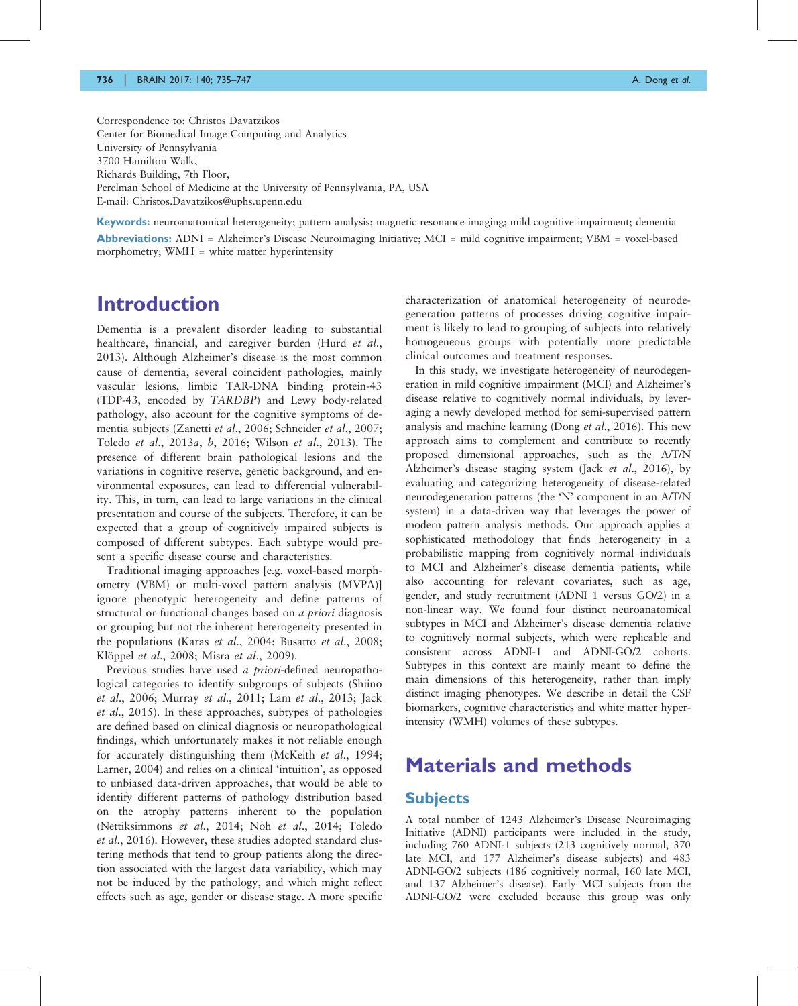Correspondence to: Christos Davatzikos Center for Biomedical Image Computing and Analytics University of Pennsylvania 3700 Hamilton Walk, Richards Building, 7th Floor, Perelman School of Medicine at the University of Pennsylvania, PA, USA E-mail: Christos.Davatzikos@uphs.upenn.edu

Keywords: neuroanatomical heterogeneity; pattern analysis; magnetic resonance imaging; mild cognitive impairment; dementia Abbreviations:  $ADNI = Alzheimer's$  Disease Neuroimaging Initiative;  $MCI = mild$  cognitive impairment;  $VBM = voxel-based$ morphometry; WMH = white matter hyperintensity

### Introduction

Dementia is a prevalent disorder leading to substantial healthcare, financial, and caregiver burden ([Hurd](#page-11-0) *et al.*, [2013](#page-11-0)). Although Alzheimer's disease is the most common cause of dementia, several coincident pathologies, mainly vascular lesions, limbic TAR-DNA binding protein-43 (TDP-43, encoded by TARDBP) and Lewy body-related pathology, also account for the cognitive symptoms of de-mentia subjects (Zanetti et al[., 2006;](#page-12-0) [Schneider](#page-11-0) et al., 2007; Toledo et al[., 2013](#page-11-0)a, [b](#page-11-0), [2016](#page-11-0); Wilson et al[., 2013\)](#page-12-0). The presence of different brain pathological lesions and the variations in cognitive reserve, genetic background, and environmental exposures, can lead to differential vulnerability. This, in turn, can lead to large variations in the clinical presentation and course of the subjects. Therefore, it can be expected that a group of cognitively impaired subjects is composed of different subtypes. Each subtype would present a specific disease course and characteristics.

Traditional imaging approaches [e.g. voxel-based morphometry (VBM) or multi-voxel pattern analysis (MVPA)] ignore phenotypic heterogeneity and define patterns of structural or functional changes based on *a priori* diagnosis or grouping but not the inherent heterogeneity presented in the populations (Karas et al[., 2004](#page-11-0); [Busatto](#page-10-0) et al., 2008; Klöppel *et al.*, 2008; Misra *et al.*, 2009).

Previous studies have used *a priori*-defined neuropathological categories to identify subgroups of subjects ([Shiino](#page-11-0) et al[., 2006](#page-11-0); [Murray](#page-11-0) et al., 2011; Lam et al[., 2013; Jack](#page-11-0) et al[., 2015\)](#page-11-0). In these approaches, subtypes of pathologies are defined based on clinical diagnosis or neuropathological findings, which unfortunately makes it not reliable enough for accurately distinguishing them ([McKeith](#page-11-0) et al., 1994; [Larner, 2004\)](#page-11-0) and relies on a clinical 'intuition', as opposed to unbiased data-driven approaches, that would be able to identify different patterns of pathology distribution based on the atrophy patterns inherent to the population [\(Nettiksimmons](#page-11-0) et al., 2014; Noh et al[., 2014](#page-11-0); [Toledo](#page-11-0) et al[., 2016\)](#page-11-0). However, these studies adopted standard clustering methods that tend to group patients along the direction associated with the largest data variability, which may not be induced by the pathology, and which might reflect effects such as age, gender or disease stage. A more specific

characterization of anatomical heterogeneity of neurodegeneration patterns of processes driving cognitive impairment is likely to lead to grouping of subjects into relatively homogeneous groups with potentially more predictable clinical outcomes and treatment responses.

In this study, we investigate heterogeneity of neurodegeneration in mild cognitive impairment (MCI) and Alzheimer's disease relative to cognitively normal individuals, by leveraging a newly developed method for semi-supervised pattern analysis and machine learning (Dong et al[., 2016\)](#page-10-0). This new approach aims to complement and contribute to recently proposed dimensional approaches, such as the A/T/N Alzheimer's disease staging system (Jack et al[., 2016\)](#page-11-0), by evaluating and categorizing heterogeneity of disease-related neurodegeneration patterns (the 'N' component in an A/T/N system) in a data-driven way that leverages the power of modern pattern analysis methods. Our approach applies a sophisticated methodology that finds heterogeneity in a probabilistic mapping from cognitively normal individuals to MCI and Alzheimer's disease dementia patients, while also accounting for relevant covariates, such as age, gender, and study recruitment (ADNI 1 versus GO/2) in a non-linear way. We found four distinct neuroanatomical subtypes in MCI and Alzheimer's disease dementia relative to cognitively normal subjects, which were replicable and consistent across ADNI-1 and ADNI-GO/2 cohorts. Subtypes in this context are mainly meant to define the main dimensions of this heterogeneity, rather than imply distinct imaging phenotypes. We describe in detail the CSF biomarkers, cognitive characteristics and white matter hyperintensity (WMH) volumes of these subtypes.

### Materials and methods

#### **Subjects**

A total number of 1243 Alzheimer's Disease Neuroimaging Initiative (ADNI) participants were included in the study, including 760 ADNI-1 subjects (213 cognitively normal, 370 late MCI, and 177 Alzheimer's disease subjects) and 483 ADNI-GO/2 subjects (186 cognitively normal, 160 late MCI, and 137 Alzheimer's disease). Early MCI subjects from the ADNI-GO/2 were excluded because this group was only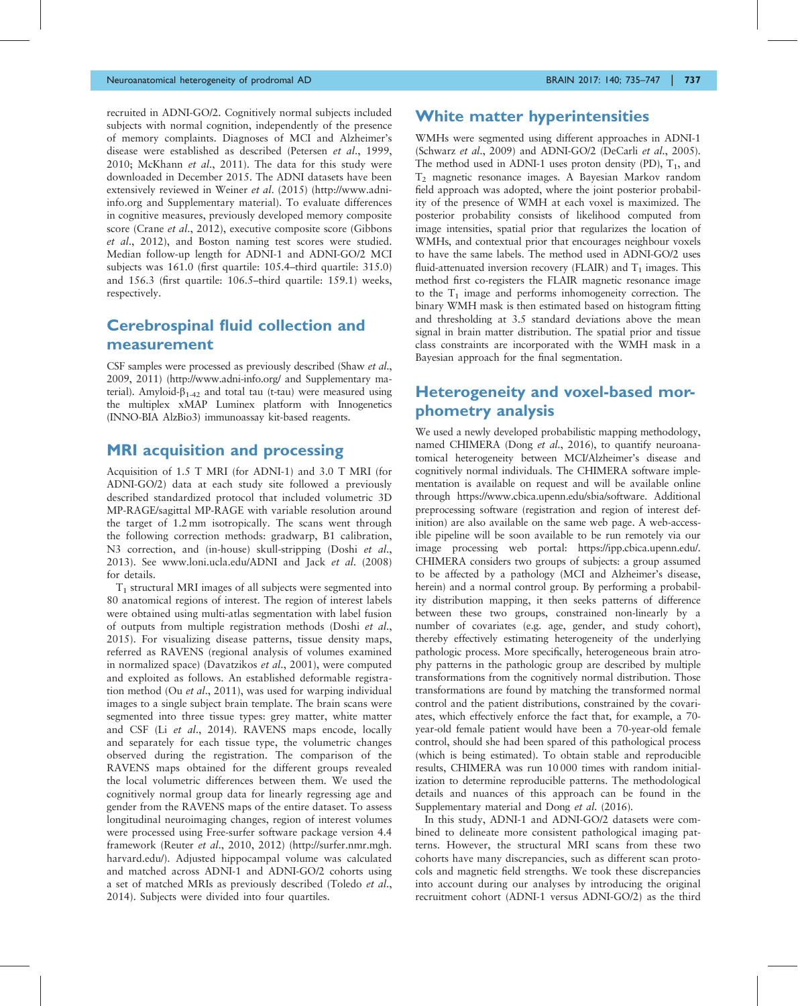recruited in ADNI-GO/2. Cognitively normal subjects included subjects with normal cognition, independently of the presence of memory complaints. Diagnoses of MCI and Alzheimer's disease were established as described [\(Petersen](#page-11-0) et al., 1999, [2010; McKhann](#page-11-0) et al., 2011). The data for this study were downloaded in December 2015. The ADNI datasets have been extensively reviewed in Weiner et al[. \(2015\)](#page-11-0) ([http://www.adni](http://www.adni-info.org)[info.org](http://www.adni-info.org) and [Supplementary material](http://brain.oxfordjournals.org/lookup/suppl/doi:10.1093/brain/aww319/-/DC1)). To evaluate differences in cognitive measures, previously developed memory composite score (Crane *et al.*, 2012), executive composite score [\(Gibbons](#page-11-0) et al[., 2012](#page-11-0)), and Boston naming test scores were studied. Median follow-up length for ADNI-1 and ADNI-GO/2 MCI subjects was 161.0 (first quartile: 105.4–third quartile: 315.0) and 156.3 (first quartile: 106.5–third quartile: 159.1) weeks, respectively.

### Cerebrospinal fluid collection and measurement

CSF samples were processed as previously described [\(Shaw](#page-11-0) et al., [2009](#page-11-0), [2011](#page-11-0)) ([http://www.adni-info.org/](http://brain.oxfordjournals.org/lookup/suppl/doi:10.1093/brain/aww319/-/DC1) and [Supplementary ma](http://brain.oxfordjournals.org/lookup/suppl/doi:10.1093/brain/aww319/-/DC1)[terial\)](http://brain.oxfordjournals.org/lookup/suppl/doi:10.1093/brain/aww319/-/DC1). Amyloid- $\beta_{1-42}$  and total tau (t-tau) were measured using the multiplex xMAP Luminex platform with Innogenetics (INNO-BIA AlzBio3) immunoassay kit-based reagents.

#### MRI acquisition and processing

Acquisition of 1.5 T MRI (for ADNI-1) and 3.0 T MRI (for ADNI-GO/2) data at each study site followed a previously described standardized protocol that included volumetric 3D MP-RAGE/sagittal MP-RAGE with variable resolution around the target of 1.2 mm isotropically. The scans went through the following correction methods: gradwarp, B1 calibration, N3 correction, and (in-house) skull-stripping ([Doshi](#page-10-0) et al., [2013\)](#page-10-0). See<www.loni.ucla.edu/ADNI> and Jack et al[. \(2008\)](#page-11-0) for details.

 $T_1$  structural MRI images of all subjects were segmented into 80 anatomical regions of interest. The region of interest labels were obtained using multi-atlas segmentation with label fusion of outputs from multiple registration methods (Doshi et al., 2015). For visualizing disease patterns, tissue density maps, referred as RAVENS (regional analysis of volumes examined in normalized space) ([Davatzikos](#page-10-0) et al., 2001), were computed and exploited as follows. An established deformable registration method (Ou et al[., 2011](#page-11-0)), was used for warping individual images to a single subject brain template. The brain scans were segmented into three tissue types: grey matter, white matter and CSF (Li et al[., 2014](#page-11-0)). RAVENS maps encode, locally and separately for each tissue type, the volumetric changes observed during the registration. The comparison of the RAVENS maps obtained for the different groups revealed the local volumetric differences between them. We used the cognitively normal group data for linearly regressing age and gender from the RAVENS maps of the entire dataset. To assess longitudinal neuroimaging changes, region of interest volumes were processed using Free-surfer software package version 4.4 framework (Reuter et al[., 2010, 2012](#page-11-0)) ([http://surfer.nmr.mgh.](http://surfer.nmr.mgh.harvard.edu/) [harvard.edu/\)](http://surfer.nmr.mgh.harvard.edu/). Adjusted hippocampal volume was calculated and matched across ADNI-1 and ADNI-GO/2 cohorts using a set of matched MRIs as previously described [\(Toledo](#page-11-0) et al., [2014\)](#page-11-0). Subjects were divided into four quartiles.

#### White matter hyperintensities

WMHs were segmented using different approaches in ADNI-1 ([Schwarz](#page-11-0) et al., 2009) and ADNI-GO/2 ([DeCarli](#page-10-0) et al., 2005). The method used in ADNI-1 uses proton density  $(PD)$ ,  $T_1$ , and T2 magnetic resonance images. A Bayesian Markov random field approach was adopted, where the joint posterior probability of the presence of WMH at each voxel is maximized. The posterior probability consists of likelihood computed from image intensities, spatial prior that regularizes the location of WMHs, and contextual prior that encourages neighbour voxels to have the same labels. The method used in ADNI-GO/2 uses fluid-attenuated inversion recovery (FLAIR) and  $T_1$  images. This method first co-registers the FLAIR magnetic resonance image to the  $T_1$  image and performs inhomogeneity correction. The binary WMH mask is then estimated based on histogram fitting and thresholding at 3.5 standard deviations above the mean signal in brain matter distribution. The spatial prior and tissue class constraints are incorporated with the WMH mask in a Bayesian approach for the final segmentation.

### Heterogeneity and voxel-based morphometry analysis

We used a newly developed probabilistic mapping methodology, named CHIMERA (Dong et al[., 2016](#page-10-0)), to quantify neuroanatomical heterogeneity between MCI/Alzheimer's disease and cognitively normal individuals. The CHIMERA software implementation is available on request and will be available online through [https://www.cbica.upenn.edu/sbia/software.](https://www.cbica.upenn.edu/sbia/software) Additional preprocessing software (registration and region of interest definition) are also available on the same web page. A web-accessible pipeline will be soon available to be run remotely via our image processing web portal:<https://ipp.cbica.upenn.edu/>. CHIMERA considers two groups of subjects: a group assumed to be affected by a pathology (MCI and Alzheimer's disease, herein) and a normal control group. By performing a probability distribution mapping, it then seeks patterns of difference between these two groups, constrained non-linearly by a number of covariates (e.g. age, gender, and study cohort), thereby effectively estimating heterogeneity of the underlying pathologic process. More specifically, heterogeneous brain atrophy patterns in the pathologic group are described by multiple transformations from the cognitively normal distribution. Those transformations are found by matching the transformed normal control and the patient distributions, constrained by the covariates, which effectively enforce the fact that, for example, a 70 year-old female patient would have been a 70-year-old female control, should she had been spared of this pathological process (which is being estimated). To obtain stable and reproducible results, CHIMERA was run 10 000 times with random initialization to determine reproducible patterns. The methodological details and nuances of this approach can be found in the [Supplementary material](http://brain.oxfordjournals.org/lookup/suppl/doi:10.1093/brain/aww319/-/DC1) and Dong et al[. \(2016\).](#page-10-0)

In this study, ADNI-1 and ADNI-GO/2 datasets were combined to delineate more consistent pathological imaging patterns. However, the structural MRI scans from these two cohorts have many discrepancies, such as different scan protocols and magnetic field strengths. We took these discrepancies into account during our analyses by introducing the original recruitment cohort (ADNI-1 versus ADNI-GO/2) as the third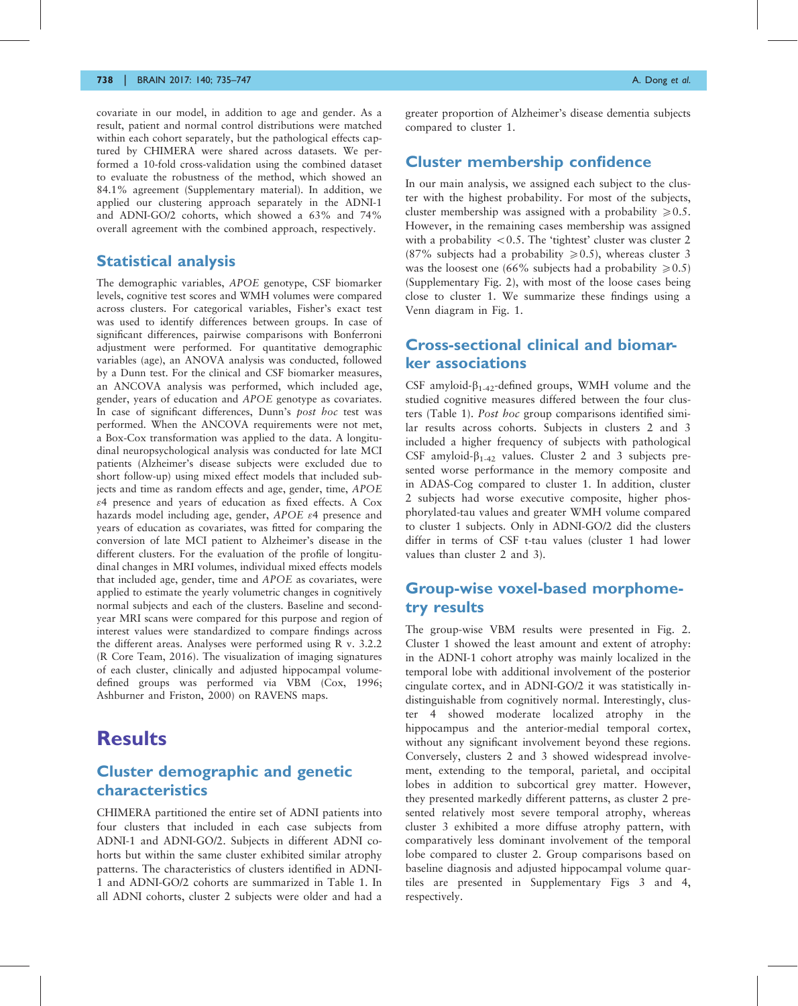covariate in our model, in addition to age and gender. As a result, patient and normal control distributions were matched within each cohort separately, but the pathological effects captured by CHIMERA were shared across datasets. We performed a 10-fold cross-validation using the combined dataset to evaluate the robustness of the method, which showed an 84.1% agreement [\(Supplementary material\)](http://brain.oxfordjournals.org/lookup/suppl/doi:10.1093/brain/aww319/-/DC1). In addition, we applied our clustering approach separately in the ADNI-1 and ADNI-GO/2 cohorts, which showed a 63% and 74% overall agreement with the combined approach, respectively.

#### Statistical analysis

The demographic variables, APOE genotype, CSF biomarker levels, cognitive test scores and WMH volumes were compared across clusters. For categorical variables, Fisher's exact test was used to identify differences between groups. In case of significant differences, pairwise comparisons with Bonferroni adjustment were performed. For quantitative demographic variables (age), an ANOVA analysis was conducted, followed by a Dunn test. For the clinical and CSF biomarker measures, an ANCOVA analysis was performed, which included age, gender, years of education and APOE genotype as covariates. In case of significant differences, Dunn's post hoc test was performed. When the ANCOVA requirements were not met, a Box-Cox transformation was applied to the data. A longitudinal neuropsychological analysis was conducted for late MCI patients (Alzheimer's disease subjects were excluded due to short follow-up) using mixed effect models that included subjects and time as random effects and age, gender, time, APOE  $\varepsilon$ 4 presence and years of education as fixed effects. A Cox hazards model including age, gender,  $APOE$   $\varepsilon$ 4 presence and years of education as covariates, was fitted for comparing the conversion of late MCI patient to Alzheimer's disease in the different clusters. For the evaluation of the profile of longitudinal changes in MRI volumes, individual mixed effects models that included age, gender, time and APOE as covariates, were applied to estimate the yearly volumetric changes in cognitively normal subjects and each of the clusters. Baseline and secondyear MRI scans were compared for this purpose and region of interest values were standardized to compare findings across the different areas. Analyses were performed using R v. 3.2.2 [\(R Core Team, 2016](#page-11-0)). The visualization of imaging signatures of each cluster, clinically and adjusted hippocampal volumedefined groups was performed via VBM ([Cox, 1996;](#page-10-0) [Ashburner and Friston, 2000](#page-10-0)) on RAVENS maps.

## **Results**

### Cluster demographic and genetic characteristics

CHIMERA partitioned the entire set of ADNI patients into four clusters that included in each case subjects from ADNI-1 and ADNI-GO/2. Subjects in different ADNI cohorts but within the same cluster exhibited similar atrophy patterns. The characteristics of clusters identified in ADNI-1 and ADNI-GO/2 cohorts are summarized in [Table 1.](#page-4-0) In all ADNI cohorts, cluster 2 subjects were older and had a

greater proportion of Alzheimer's disease dementia subjects compared to cluster 1.

#### Cluster membership confidence

In our main analysis, we assigned each subject to the cluster with the highest probability. For most of the subjects, cluster membership was assigned with a probability  $\geq 0.5$ . However, in the remaining cases membership was assigned with a probability  $< 0.5$ . The 'tightest' cluster was cluster 2 (87% subjects had a probability  $\geq 0.5$ ), whereas cluster 3 was the loosest one (66% subjects had a probability  $\geq 0.5$ ) [\(Supplementary Fig. 2](http://brain.oxfordjournals.org/lookup/suppl/doi:10.1093/brain/aww319/-/DC1)), with most of the loose cases being close to cluster 1. We summarize these findings using a Venn diagram in [Fig. 1](#page-5-0).

#### Cross-sectional clinical and biomarker associations

CSF amyloid- $\beta_{1-42}$ -defined groups, WMH volume and the studied cognitive measures differed between the four clusters [\(Table 1\)](#page-4-0). Post hoc group comparisons identified similar results across cohorts. Subjects in clusters 2 and 3 included a higher frequency of subjects with pathological CSF amyloid- $\beta_{1-42}$  values. Cluster 2 and 3 subjects presented worse performance in the memory composite and in ADAS-Cog compared to cluster 1. In addition, cluster 2 subjects had worse executive composite, higher phosphorylated-tau values and greater WMH volume compared to cluster 1 subjects. Only in ADNI-GO/2 did the clusters differ in terms of CSF t-tau values (cluster 1 had lower values than cluster 2 and 3).

### Group-wise voxel-based morphometry results

The group-wise VBM results were presented in [Fig. 2.](#page-5-0) Cluster 1 showed the least amount and extent of atrophy: in the ADNI-1 cohort atrophy was mainly localized in the temporal lobe with additional involvement of the posterior cingulate cortex, and in ADNI-GO/2 it was statistically indistinguishable from cognitively normal. Interestingly, cluster 4 showed moderate localized atrophy in the hippocampus and the anterior-medial temporal cortex, without any significant involvement beyond these regions. Conversely, clusters 2 and 3 showed widespread involvement, extending to the temporal, parietal, and occipital lobes in addition to subcortical grey matter. However, they presented markedly different patterns, as cluster 2 presented relatively most severe temporal atrophy, whereas cluster 3 exhibited a more diffuse atrophy pattern, with comparatively less dominant involvement of the temporal lobe compared to cluster 2. Group comparisons based on baseline diagnosis and adjusted hippocampal volume quartiles are presented in [Supplementary Figs 3](http://brain.oxfordjournals.org/lookup/suppl/doi:10.1093/brain/aww319/-/DC1) and [4,](http://brain.oxfordjournals.org/lookup/suppl/doi:10.1093/brain/aww319/-/DC1) respectively.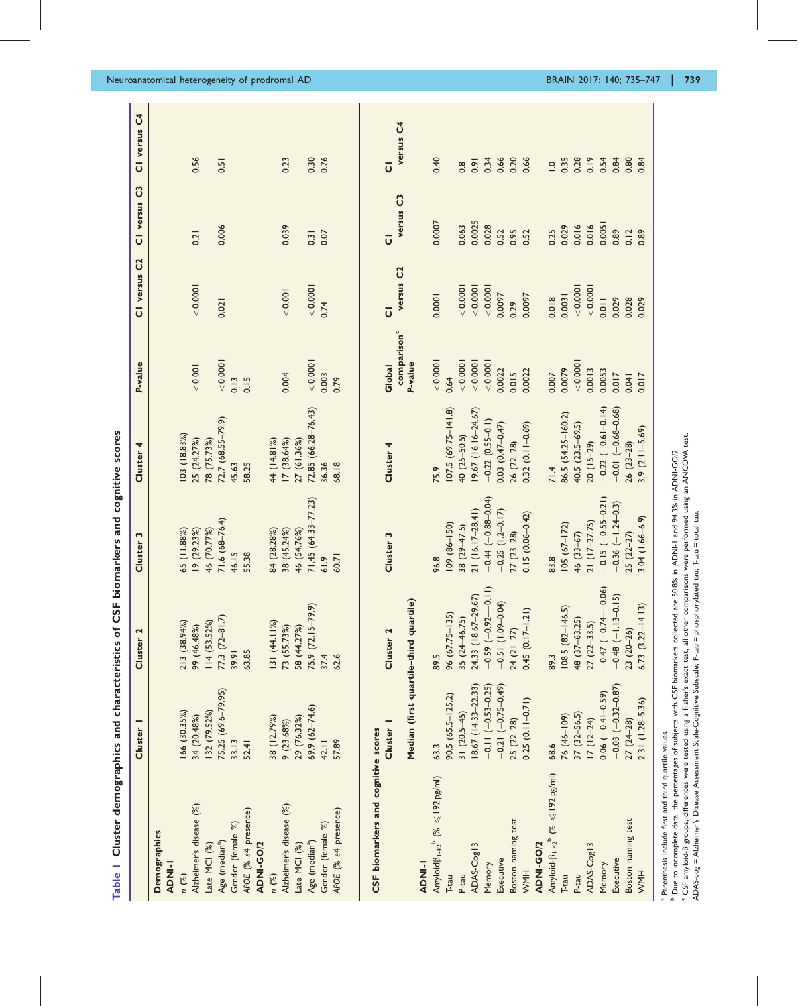<span id="page-4-0"></span>

|                                                                                                                            | Cluster 1                              | Cluster <sub>2</sub>                            | Cluster 3                | Cluster <sub>4</sub>     | P-value                 | CI versus C2            | CI versus C3          | CI versus C4   |
|----------------------------------------------------------------------------------------------------------------------------|----------------------------------------|-------------------------------------------------|--------------------------|--------------------------|-------------------------|-------------------------|-----------------------|----------------|
| <b>Demographics</b>                                                                                                        |                                        |                                                 |                          |                          |                         |                         |                       |                |
| ADNI-I                                                                                                                     |                                        |                                                 |                          |                          |                         |                         |                       |                |
| n (%)                                                                                                                      | 166 (30.35%)                           | 213 (38.94%)                                    | 65 (11.88%)              | 103 (18.83%)             |                         |                         |                       |                |
| Alzheimer's disease (%)                                                                                                    | 34 (20.48%)                            | 99 (46.48%)                                     | 19 (29.23%)              | 25 (24.27%)              | 10000                   | < 0.0001                | 0.21                  | 0.56           |
| Late MCI (%)                                                                                                               | 132 (79.52%)                           | 114 (53.52%)                                    | 46 (70.77%)              | 78 (75.73%)              |                         |                         |                       |                |
| Age (median <sup>a</sup> )                                                                                                 | 75.25 (69.6-79.95)                     | $77.3 (72 - 81.7)$                              | 71.6 (68-76.4)           | 72.7 (68.55-79.9)        | 0.0001                  | 0.021                   | 0.006                 | 0.51           |
| Gender (female %)                                                                                                          | 33.13                                  | 39.91                                           | 46.15                    | 45.63                    | 0.13                    |                         |                       |                |
| APOE (% &4 presence)                                                                                                       | 52.41                                  | 63.85                                           | 55.38                    | 58.25                    | 0.15                    |                         |                       |                |
| ADNI-GO/2                                                                                                                  |                                        |                                                 |                          |                          |                         |                         |                       |                |
| n (%)                                                                                                                      | 38 (12.79%)                            | 131 (44.11%)                                    | 84 (28.28%)              | 44 (14.81%)              |                         |                         |                       |                |
| Alzheimer's disease (%)                                                                                                    | 9 (23.68%)                             |                                                 | 38 (45.24%)              | 17(38.64%)               | 0.004                   | 0.001                   | 0.039                 | 0.23           |
| Late MCI (%)                                                                                                               | 29 (76.32%)                            | 73 (55.73%)<br>58 (44.27%)<br>75.9 (72.15–79.9) | 46 (54.76%)              | 27 (61.36%)              |                         |                         |                       |                |
| Age (median <sup>a</sup> )                                                                                                 | $69.9(62 - 74.6)$                      |                                                 | 71.45 (64.33-77.23)      | 72.85 (66.28-76.43)      | < 0.0001                | < 0.0001                | 0.31                  | 0.30           |
| Gender (female %)                                                                                                          | 42.11                                  | 37.4                                            | 61.9                     | 36.36                    | 0.003                   | 0.74                    | 0.07                  | 0.76           |
| APOE (% & presence)                                                                                                        | 57.89                                  | 62.6                                            | 60.71                    | 68.18                    | 0.79                    |                         |                       |                |
|                                                                                                                            |                                        |                                                 |                          |                          |                         |                         |                       |                |
| CSF biomarkers and cognitive scores                                                                                        |                                        |                                                 |                          |                          |                         |                         |                       |                |
|                                                                                                                            | Cluster                                | Cluster <sub>2</sub>                            | Cluster 3                | Cluster 4                | Global                  | $\overline{\mathrm{o}}$ | $\overline{0}$        | $\overline{0}$ |
|                                                                                                                            |                                        |                                                 |                          |                          | comparison <sup>c</sup> | versus C <sub>2</sub>   | versus C <sub>3</sub> | versus C4      |
|                                                                                                                            | Median (first quartile-third quartile) |                                                 |                          |                          | P-value                 |                         |                       |                |
| <b>ADNI-I</b>                                                                                                              |                                        |                                                 |                          |                          |                         |                         |                       |                |
| Amyloid $\beta_{1\text{-}42}^{\text{b}}$ (% $\leqslant$ 192 pg/ml)                                                         | 63.3                                   | 89.5                                            | 96.8                     | 75.9                     | < 0.0001                | 0.0001                  | 0.0007                | 0.40           |
| T-tau                                                                                                                      | $90.5(65.5 - 125.2)$                   | 96 (67.75-135)                                  | $109(86 - 150)$          | $107.5(69.75-141.8)$     | 0.64                    |                         |                       |                |
| P-tau                                                                                                                      | $31(20.5-45)$                          | 35 (24 46.75)                                   | 38 (29-47.5)             | $40(25 - 50.5)$          | < 0.0001                | < 0.0001                | 0.063                 | $\frac{8}{2}$  |
| ADAS-Cog <sub>13</sub>                                                                                                     | 18.67 (14.33-22.33)                    | 24.33 (18.67-29.67)                             | 21 (16.17-28.41)         | $19.67$ (16.16-24.67)    | < 0.0001                | < 0.0001                | 0.0025                | 0.91           |
| Memory                                                                                                                     | $-0.11 (-0.53 - 0.25)$                 | $-0.59$ $(-0.92 - 0.11)$                        | $-0.44$ $(-0.88 - 0.04)$ | $-0.22$ $(0.55 - 0.1)$   | < 0.0001                | < 0.0001                | 0.028                 | 0.34           |
| Executive                                                                                                                  | $-0.21 (-0.75 - 0.49)$                 | $-0.51$ (1.09-0.04)                             | $-0.25$ $(1.2 - 0.17)$   | $0.03(0.47 - 0.47)$      | 0.0022                  | 0.0097                  | 0.52                  | 0.66           |
| Boston naming test                                                                                                         | $25(22-28)$                            | $24(21-27)$                                     | $27(23-28)$              | $26(22-28)$              | 0.015                   | 0.29                    | 0.95                  | 0.20           |
| <b>HNNK</b>                                                                                                                | $0.25(0.11-0.71)$                      | $0.45(0.17 - 1.21)$                             | $0.15(0.06 - 0.42)$      | $0.32(0.11 - 0.69)$      | 0.0022                  | 0.0097                  | 0.52                  | 0.66           |
| ADNI-GO/2                                                                                                                  |                                        |                                                 |                          |                          |                         |                         |                       |                |
| $\mathsf{Amyloid-}\beta_{1\text{-}42}^{\text{b}}\ (\%\leqslant\hspace{-0.1cm} \hspace{0.1cm}92\hspace{0.1cm}\text{pg/ml})$ | 68.6                                   | 89.3                                            | 83.8                     | 71.4                     | 0.007                   | 0.018                   | 0.25                  | $\overline{a}$ |
| T-tau                                                                                                                      | 76 (46-109)                            | $108.5 (82 - 146.5)$                            | $105(67-172)$            | 86.5 (54.25-160.2)       | 0.0079                  | 0.0031                  | 0.029                 | 0.35           |
| P-tau                                                                                                                      | $37(32 - 56.5)$                        | 48 (37-63.25)                                   | $46(33-67)$              | $40.5(23.5-69.5)$        | 0.0001                  | < 0.0001                | 0.016                 | 0.28           |
| ADAS-Cog <sub>13</sub>                                                                                                     | $17(12-24)$                            | $27(22-33.5)$                                   | $21(17-27.75)$           | $20(15-29)$              | 0.0013                  | < 0.0001                | 0.016                 | 0.19           |
| Memory                                                                                                                     | $0.06 (-0.41 - 0.59)$                  | $-0.47$ ( $-0.74 - 0.06$ )                      | $-0.15(-0.55-0.21)$      | $-0.22$ $(-0.61 - 0.14)$ | 0.0053                  | 0.011                   | 0.0051                | 0.54           |
| Executive                                                                                                                  | $-0.03(-0.32 - 0.87)$                  | $-0.48$ ( $-1.13 - 0.15$ )                      | $-0.36$ ( $-1.24-0.3$ )  | $-0.01(-0.68 - 0.68)$    | 0.017                   | 0.029                   | 0.89                  | 0.84           |
| Boston naming test                                                                                                         | $27(24-28)$                            | 23 (20-26)                                      | $25(22-27)$              | $26(23-28)$              | 0.041                   | 0.028                   | 0.12                  | 0.80           |
| <b>HNM</b>                                                                                                                 | 2.31 (1.28-5.36)                       | $6.73$ $(3.22 - 14.13)$                         | $3.04(1.66 - 6.9)$       | $3.9(2.11 - 5.69)$       | 0.017                   | 0.029                   | 0.89                  | 0.84           |

Table 1 Cluster demographics and characteristics of CSF biomarkers and cognitive scores Table 1 Cluster demographics and characteristics of CSF biomarkers and cognitive scores

Parenthesis include first and third quartile values.

abc

Due to incomplete data, the percentages of subjects with CSF biomarkers collected are 50.8% in ADNI-1 and 94.3% in ADNI-GO/2.

CSF amyloid-b groups, differences were tested using a Fisher's exact test, all other comparisons were performed using an ANCOVA test.

ADAS-cog = Alzheimer's Disease Assessment Scale-Cognitive Subscale; P-tau = phosphorylated tau; T-tau = total tau.

l.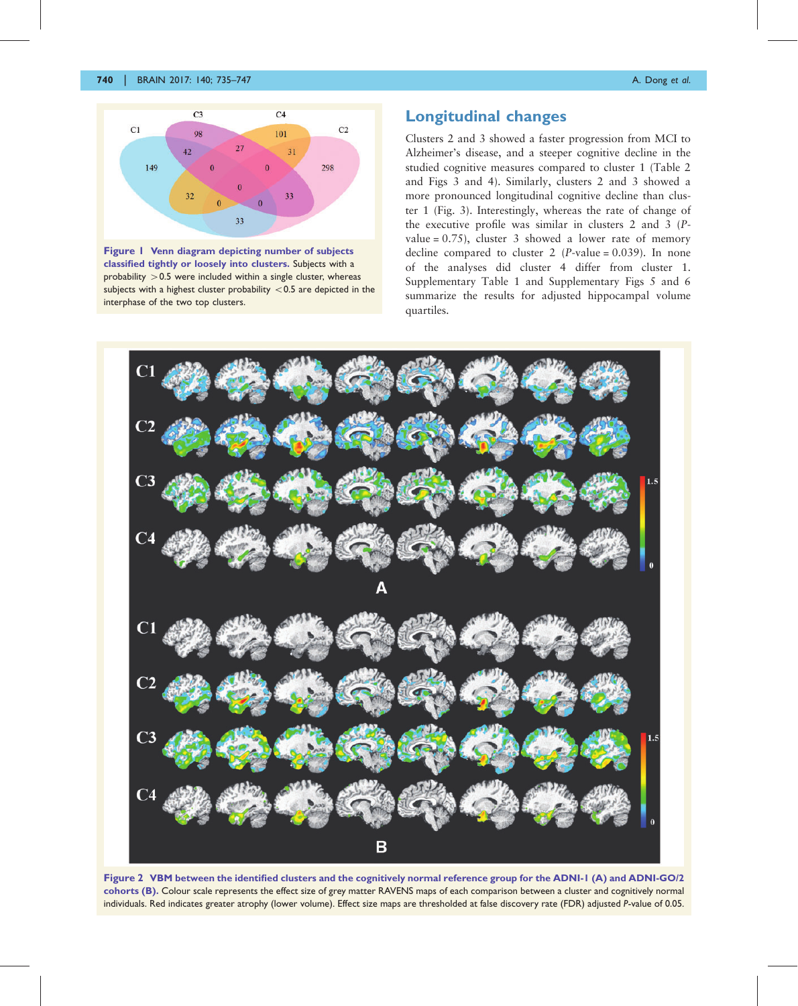<span id="page-5-0"></span>

Figure 1 Venn diagram depicting number of subjects classified tightly or loosely into clusters. Subjects with a probability  $>0.5$  were included within a single cluster, whereas subjects with a highest cluster probability  $<$  0.5 are depicted in the interphase of the two top clusters.

#### Longitudinal changes

Clusters 2 and 3 showed a faster progression from MCI to Alzheimer's disease, and a steeper cognitive decline in the studied cognitive measures compared to cluster 1 [\(Table 2](#page-6-0) and [Figs 3](#page-6-0) and [4](#page-6-0)). Similarly, clusters 2 and 3 showed a more pronounced longitudinal cognitive decline than cluster 1 ([Fig. 3\)](#page-6-0). Interestingly, whereas the rate of change of the executive profile was similar in clusters 2 and 3 (Pvalue =  $0.75$ ), cluster 3 showed a lower rate of memory decline compared to cluster 2 (*P*-value =  $0.039$ ). In none of the analyses did cluster 4 differ from cluster 1. [Supplementary Table 1](http://brain.oxfordjournals.org/lookup/suppl/doi:10.1093/brain/aww319/-/DC1) and [Supplementary Figs 5](http://brain.oxfordjournals.org/lookup/suppl/doi:10.1093/brain/aww319/-/DC1) and [6](http://brain.oxfordjournals.org/lookup/suppl/doi:10.1093/brain/aww319/-/DC1) summarize the results for adjusted hippocampal volume quartiles.



Figure 2 VBM between the identified clusters and the cognitively normal reference group for the ADNI-1 (A) and ADNI-GO/2 cohorts (B). Colour scale represents the effect size of grey matter RAVENS maps of each comparison between a cluster and cognitively normal individuals. Red indicates greater atrophy (lower volume). Effect size maps are thresholded at false discovery rate (FDR) adjusted P-value of 0.05.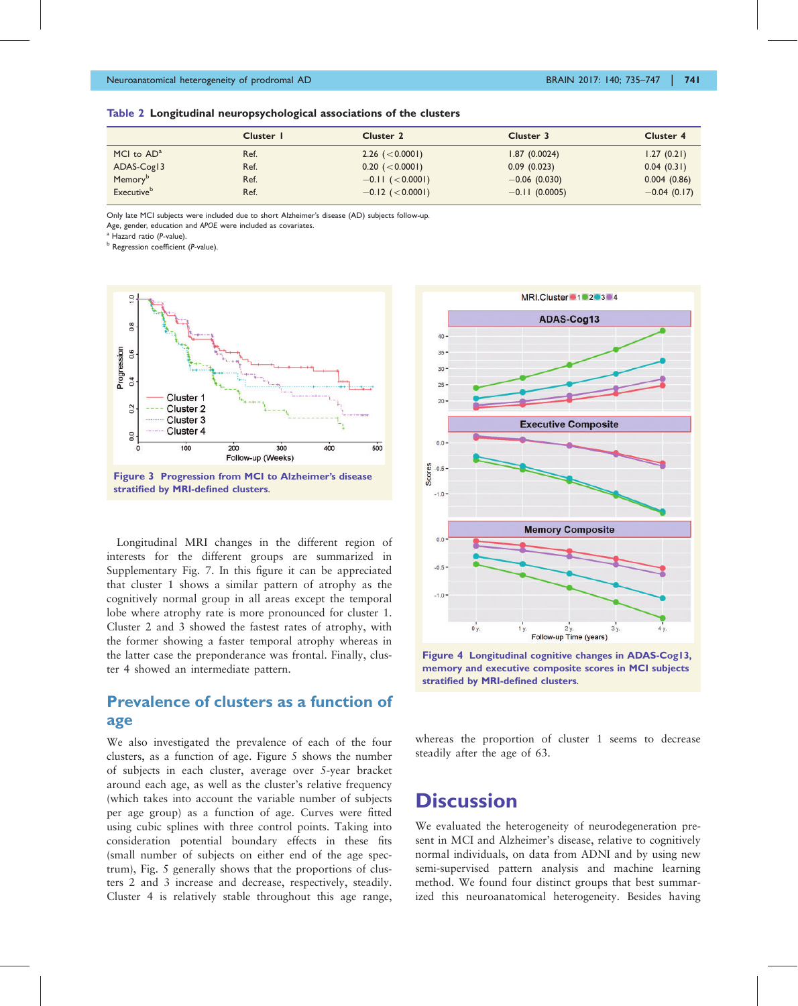#### <span id="page-6-0"></span>Table 2 Longitudinal neuropsychological associations of the clusters

|                        | Cluster 1 | <b>Cluster 2</b>       | <b>Cluster 3</b> | <b>Cluster 4</b> |
|------------------------|-----------|------------------------|------------------|------------------|
| MCI to $AD^a$          | Ref.      | 2.26 $(<0.0001)$       | 1.87(0.0024)     | 1.27(0.21)       |
| ADAS-Cog13             | Ref.      | $0.20$ (<0.0001)       | 0.09(0.023)      | 0.04(0.31)       |
| Memory <sup>b</sup>    | Ref.      | $-0.11$ (<0.0001)      | $-0.06(0.030)$   | 0.004(0.86)      |
| Executive <sup>b</sup> | Ref.      | $-0.12$ ( $< 0.0001$ ) | $-0.11(0.0005)$  | $-0.04(0.17)$    |

Only late MCI subjects were included due to short Alzheimer's disease (AD) subjects follow-up.

Age, gender, education and APOE were included as covariates.

<sup>a</sup> Hazard ratio (P-value).

 $<sup>b</sup>$  Regression coefficient (P-value).</sup>



Longitudinal MRI changes in the different region of interests for the different groups are summarized in [Supplementary Fig. 7](http://brain.oxfordjournals.org/lookup/suppl/doi:10.1093/brain/aww319/-/DC1). In this figure it can be appreciated that cluster 1 shows a similar pattern of atrophy as the cognitively normal group in all areas except the temporal lobe where atrophy rate is more pronounced for cluster 1. Cluster 2 and 3 showed the fastest rates of atrophy, with the former showing a faster temporal atrophy whereas in the latter case the preponderance was frontal. Finally, cluster 4 showed an intermediate pattern.

### Prevalence of clusters as a function of age

We also investigated the prevalence of each of the four clusters, as a function of age. [Figure 5](#page-7-0) shows the number of subjects in each cluster, average over 5-year bracket around each age, as well as the cluster's relative frequency (which takes into account the variable number of subjects per age group) as a function of age. Curves were fitted using cubic splines with three control points. Taking into consideration potential boundary effects in these fits (small number of subjects on either end of the age spectrum), [Fig. 5](#page-7-0) generally shows that the proportions of clusters 2 and 3 increase and decrease, respectively, steadily. Cluster 4 is relatively stable throughout this age range,





whereas the proportion of cluster 1 seems to decrease steadily after the age of 63.

### **Discussion**

We evaluated the heterogeneity of neurodegeneration present in MCI and Alzheimer's disease, relative to cognitively normal individuals, on data from ADNI and by using new semi-supervised pattern analysis and machine learning method. We found four distinct groups that best summarized this neuroanatomical heterogeneity. Besides having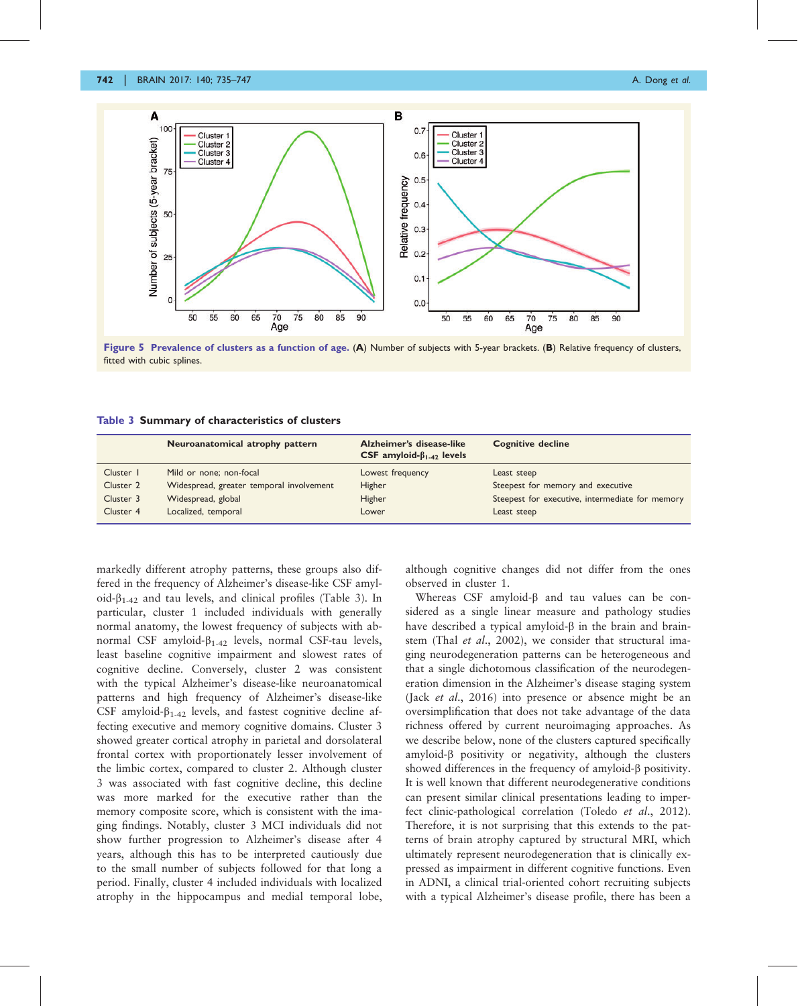<span id="page-7-0"></span>

Figure 5 Prevalence of clusters as a function of age. (A) Number of subjects with 5-year brackets. (B) Relative frequency of clusters, fitted with cubic splines.

#### Table 3 Summary of characteristics of clusters

|           | Neuroanatomical atrophy pattern          | Alzheimer's disease-like<br>CSF amyloid- $\beta_{1-42}$ levels | <b>Cognitive decline</b>                        |
|-----------|------------------------------------------|----------------------------------------------------------------|-------------------------------------------------|
| Cluster 1 | Mild or none; non-focal                  | Lowest frequency                                               | Least steep                                     |
| Cluster 2 | Widespread, greater temporal involvement | Higher                                                         | Steepest for memory and executive               |
| Cluster 3 | Widespread, global                       | Higher                                                         | Steepest for executive, intermediate for memory |
| Cluster 4 | Localized, temporal                      | Lower                                                          | Least steep                                     |

markedly different atrophy patterns, these groups also differed in the frequency of Alzheimer's disease-like CSF amyloid- $\beta_{1-42}$  and tau levels, and clinical profiles (Table 3). In particular, cluster 1 included individuals with generally normal anatomy, the lowest frequency of subjects with abnormal CSF amyloid- $\beta_{1-42}$  levels, normal CSF-tau levels, least baseline cognitive impairment and slowest rates of cognitive decline. Conversely, cluster 2 was consistent with the typical Alzheimer's disease-like neuroanatomical patterns and high frequency of Alzheimer's disease-like CSF amyloid- $\beta_{1-42}$  levels, and fastest cognitive decline affecting executive and memory cognitive domains. Cluster 3 showed greater cortical atrophy in parietal and dorsolateral frontal cortex with proportionately lesser involvement of the limbic cortex, compared to cluster 2. Although cluster 3 was associated with fast cognitive decline, this decline was more marked for the executive rather than the memory composite score, which is consistent with the imaging findings. Notably, cluster 3 MCI individuals did not show further progression to Alzheimer's disease after 4 years, although this has to be interpreted cautiously due to the small number of subjects followed for that long a period. Finally, cluster 4 included individuals with localized atrophy in the hippocampus and medial temporal lobe,

although cognitive changes did not differ from the ones observed in cluster 1.

Whereas  $CSF$  amyloid- $\beta$  and tau values can be considered as a single linear measure and pathology studies have described a typical amyloid- $\beta$  in the brain and brain-stem (Thal et al[., 2002\)](#page-11-0), we consider that structural imaging neurodegeneration patterns can be heterogeneous and that a single dichotomous classification of the neurodegeneration dimension in the Alzheimer's disease staging system (Jack et al[., 2016](#page-11-0)) into presence or absence might be an oversimplification that does not take advantage of the data richness offered by current neuroimaging approaches. As we describe below, none of the clusters captured specifically amyloid- $\beta$  positivity or negativity, although the clusters showed differences in the frequency of amyloid- $\beta$  positivity. It is well known that different neurodegenerative conditions can present similar clinical presentations leading to imperfect clinic-pathological correlation (Toledo et al[., 2012\)](#page-11-0). Therefore, it is not surprising that this extends to the patterns of brain atrophy captured by structural MRI, which ultimately represent neurodegeneration that is clinically expressed as impairment in different cognitive functions. Even in ADNI, a clinical trial-oriented cohort recruiting subjects with a typical Alzheimer's disease profile, there has been a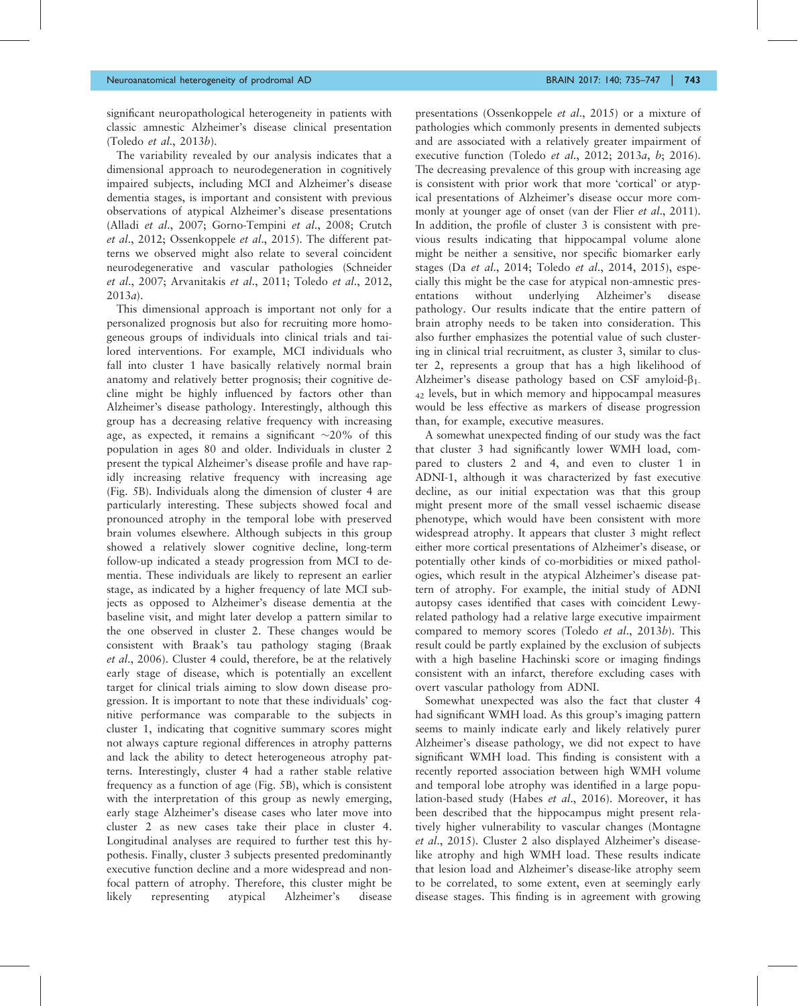significant neuropathological heterogeneity in patients with classic amnestic Alzheimer's disease clinical presentation (Toledo et al[., 2013](#page-11-0)b).

The variability revealed by our analysis indicates that a dimensional approach to neurodegeneration in cognitively impaired subjects, including MCI and Alzheimer's disease dementia stages, is important and consistent with previous observations of atypical Alzheimer's disease presentations (Alladi et al[., 2007](#page-10-0); [Gorno-Tempini](#page-11-0) et al., 2008; [Crutch](#page-10-0) et al[., 2012;](#page-10-0) [Ossenkoppele](#page-11-0) et al., 2015). The different patterns we observed might also relate to several coincident neurodegenerative and vascular pathologies ([Schneider](#page-11-0) et al[., 2007](#page-11-0); [Arvanitakis](#page-10-0) et al., 2011; Toledo et al[., 2012](#page-11-0), [2013](#page-11-0)a).

This dimensional approach is important not only for a personalized prognosis but also for recruiting more homogeneous groups of individuals into clinical trials and tailored interventions. For example, MCI individuals who fall into cluster 1 have basically relatively normal brain anatomy and relatively better prognosis; their cognitive decline might be highly influenced by factors other than Alzheimer's disease pathology. Interestingly, although this group has a decreasing relative frequency with increasing age, as expected, it remains a significant  $\sim$ 20% of this population in ages 80 and older. Individuals in cluster 2 present the typical Alzheimer's disease profile and have rapidly increasing relative frequency with increasing age ([Fig. 5](#page-7-0)B). Individuals along the dimension of cluster 4 are particularly interesting. These subjects showed focal and pronounced atrophy in the temporal lobe with preserved brain volumes elsewhere. Although subjects in this group showed a relatively slower cognitive decline, long-term follow-up indicated a steady progression from MCI to dementia. These individuals are likely to represent an earlier stage, as indicated by a higher frequency of late MCI subjects as opposed to Alzheimer's disease dementia at the baseline visit, and might later develop a pattern similar to the one observed in cluster 2. These changes would be consistent with Braak's tau pathology staging ([Braak](#page-10-0) et al[., 2006](#page-10-0)). Cluster 4 could, therefore, be at the relatively early stage of disease, which is potentially an excellent target for clinical trials aiming to slow down disease progression. It is important to note that these individuals' cognitive performance was comparable to the subjects in cluster 1, indicating that cognitive summary scores might not always capture regional differences in atrophy patterns and lack the ability to detect heterogeneous atrophy patterns. Interestingly, cluster 4 had a rather stable relative frequency as a function of age [\(Fig. 5B](#page-7-0)), which is consistent with the interpretation of this group as newly emerging, early stage Alzheimer's disease cases who later move into cluster 2 as new cases take their place in cluster 4. Longitudinal analyses are required to further test this hypothesis. Finally, cluster 3 subjects presented predominantly executive function decline and a more widespread and nonfocal pattern of atrophy. Therefore, this cluster might be likely representing atypical Alzheimer's disease

presentations ([Ossenkoppele](#page-11-0) et al., 2015) or a mixture of pathologies which commonly presents in demented subjects and are associated with a relatively greater impairment of executive function (Toledo et al[., 2012](#page-11-0); [2013](#page-11-0)a, [b](#page-11-0); [2016](#page-11-0)). The decreasing prevalence of this group with increasing age is consistent with prior work that more 'cortical' or atypical presentations of Alzheimer's disease occur more commonly at younger age of onset ([van der Flier](#page-11-0) et al., 2011). In addition, the profile of cluster 3 is consistent with previous results indicating that hippocampal volume alone might be neither a sensitive, nor specific biomarker early stages (Da et al[., 2014;](#page-10-0) Toledo et al[., 2014, 2015\)](#page-11-0), especially this might be the case for atypical non-amnestic presentations without underlying Alzheimer's disease pathology. Our results indicate that the entire pattern of brain atrophy needs to be taken into consideration. This also further emphasizes the potential value of such clustering in clinical trial recruitment, as cluster 3, similar to cluster 2, represents a group that has a high likelihood of Alzheimer's disease pathology based on CSF amyloid- $\beta_1$ . <sup>42</sup> levels, but in which memory and hippocampal measures would be less effective as markers of disease progression than, for example, executive measures.

A somewhat unexpected finding of our study was the fact that cluster 3 had significantly lower WMH load, compared to clusters 2 and 4, and even to cluster 1 in ADNI-1, although it was characterized by fast executive decline, as our initial expectation was that this group might present more of the small vessel ischaemic disease phenotype, which would have been consistent with more widespread atrophy. It appears that cluster 3 might reflect either more cortical presentations of Alzheimer's disease, or potentially other kinds of co-morbidities or mixed pathologies, which result in the atypical Alzheimer's disease pattern of atrophy. For example, the initial study of ADNI autopsy cases identified that cases with coincident Lewyrelated pathology had a relative large executive impairment compared to memory scores (Toledo et al[., 2013](#page-11-0)b). This result could be partly explained by the exclusion of subjects with a high baseline Hachinski score or imaging findings consistent with an infarct, therefore excluding cases with overt vascular pathology from ADNI.

Somewhat unexpected was also the fact that cluster 4 had significant WMH load. As this group's imaging pattern seems to mainly indicate early and likely relatively purer Alzheimer's disease pathology, we did not expect to have significant WMH load. This finding is consistent with a recently reported association between high WMH volume and temporal lobe atrophy was identified in a large population-based study (Habes et al[., 2016\)](#page-11-0). Moreover, it has been described that the hippocampus might present relatively higher vulnerability to vascular changes ([Montagne](#page-11-0) et al[., 2015\)](#page-11-0). Cluster 2 also displayed Alzheimer's diseaselike atrophy and high WMH load. These results indicate that lesion load and Alzheimer's disease-like atrophy seem to be correlated, to some extent, even at seemingly early disease stages. This finding is in agreement with growing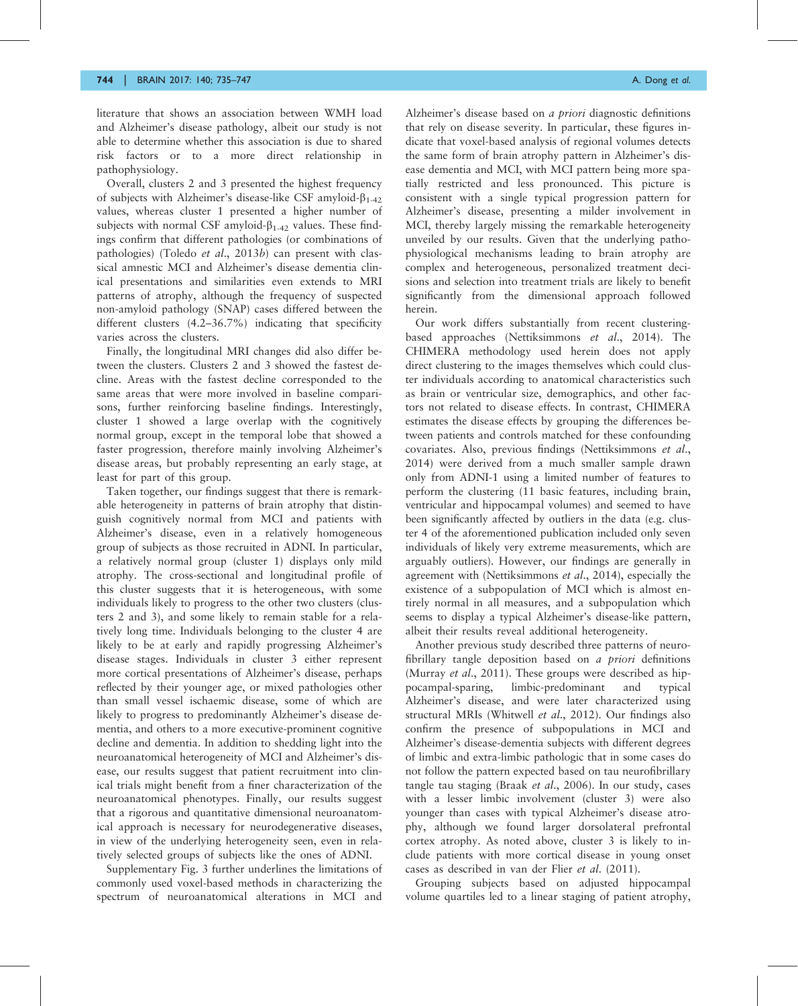literature that shows an association between WMH load and Alzheimer's disease pathology, albeit our study is not able to determine whether this association is due to shared risk factors or to a more direct relationship in pathophysiology.

Overall, clusters 2 and 3 presented the highest frequency of subjects with Alzheimer's disease-like CSF amyloid- $\beta_{1-42}$ values, whereas cluster 1 presented a higher number of subjects with normal CSF amyloid- $\beta_{1-42}$  values. These findings confirm that different pathologies (or combinations of pathologies) (Toledo et al[., 2013](#page-11-0)b) can present with classical amnestic MCI and Alzheimer's disease dementia clinical presentations and similarities even extends to MRI patterns of atrophy, although the frequency of suspected non-amyloid pathology (SNAP) cases differed between the different clusters  $(4.2-36.7%)$  indicating that specificity varies across the clusters.

Finally, the longitudinal MRI changes did also differ between the clusters. Clusters 2 and 3 showed the fastest decline. Areas with the fastest decline corresponded to the same areas that were more involved in baseline comparisons, further reinforcing baseline findings. Interestingly, cluster 1 showed a large overlap with the cognitively normal group, except in the temporal lobe that showed a faster progression, therefore mainly involving Alzheimer's disease areas, but probably representing an early stage, at least for part of this group.

Taken together, our findings suggest that there is remarkable heterogeneity in patterns of brain atrophy that distinguish cognitively normal from MCI and patients with Alzheimer's disease, even in a relatively homogeneous group of subjects as those recruited in ADNI. In particular, a relatively normal group (cluster 1) displays only mild atrophy. The cross-sectional and longitudinal profile of this cluster suggests that it is heterogeneous, with some individuals likely to progress to the other two clusters (clusters 2 and 3), and some likely to remain stable for a relatively long time. Individuals belonging to the cluster 4 are likely to be at early and rapidly progressing Alzheimer's disease stages. Individuals in cluster 3 either represent more cortical presentations of Alzheimer's disease, perhaps reflected by their younger age, or mixed pathologies other than small vessel ischaemic disease, some of which are likely to progress to predominantly Alzheimer's disease dementia, and others to a more executive-prominent cognitive decline and dementia. In addition to shedding light into the neuroanatomical heterogeneity of MCI and Alzheimer's disease, our results suggest that patient recruitment into clinical trials might benefit from a finer characterization of the neuroanatomical phenotypes. Finally, our results suggest that a rigorous and quantitative dimensional neuroanatomical approach is necessary for neurodegenerative diseases, in view of the underlying heterogeneity seen, even in relatively selected groups of subjects like the ones of ADNI.

[Supplementary Fig. 3](http://brain.oxfordjournals.org/lookup/suppl/doi:10.1093/brain/aww319/-/DC1) further underlines the limitations of commonly used voxel-based methods in characterizing the spectrum of neuroanatomical alterations in MCI and

Alzheimer's disease based on a priori diagnostic definitions that rely on disease severity. In particular, these figures indicate that voxel-based analysis of regional volumes detects the same form of brain atrophy pattern in Alzheimer's disease dementia and MCI, with MCI pattern being more spatially restricted and less pronounced. This picture is consistent with a single typical progression pattern for Alzheimer's disease, presenting a milder involvement in MCI, thereby largely missing the remarkable heterogeneity unveiled by our results. Given that the underlying pathophysiological mechanisms leading to brain atrophy are complex and heterogeneous, personalized treatment decisions and selection into treatment trials are likely to benefit significantly from the dimensional approach followed herein.

Our work differs substantially from recent clusteringbased approaches [\(Nettiksimmons](#page-11-0) et al., 2014). The CHIMERA methodology used herein does not apply direct clustering to the images themselves which could cluster individuals according to anatomical characteristics such as brain or ventricular size, demographics, and other factors not related to disease effects. In contrast, CHIMERA estimates the disease effects by grouping the differences between patients and controls matched for these confounding covariates. Also, previous findings [\(Nettiksimmons](#page-11-0) et al., [2014](#page-11-0)) were derived from a much smaller sample drawn only from ADNI-1 using a limited number of features to perform the clustering (11 basic features, including brain, ventricular and hippocampal volumes) and seemed to have been significantly affected by outliers in the data (e.g. cluster 4 of the aforementioned publication included only seven individuals of likely very extreme measurements, which are arguably outliers). However, our findings are generally in agreement with [\(Nettiksimmons](#page-11-0) et al., 2014), especially the existence of a subpopulation of MCI which is almost entirely normal in all measures, and a subpopulation which seems to display a typical Alzheimer's disease-like pattern, albeit their results reveal additional heterogeneity.

Another previous study described three patterns of neurofibrillary tangle deposition based on a priori definitions [\(Murray](#page-11-0) *et al.*, 2011). These groups were described as hippocampal-sparing, limbic-predominant and typical Alzheimer's disease, and were later characterized using structural MRIs ([Whitwell](#page-11-0) et al., 2012). Our findings also confirm the presence of subpopulations in MCI and Alzheimer's disease-dementia subjects with different degrees of limbic and extra-limbic pathologic that in some cases do not follow the pattern expected based on tau neurofibrillary tangle tau staging (Braak et al[., 2006](#page-10-0)). In our study, cases with a lesser limbic involvement (cluster 3) were also younger than cases with typical Alzheimer's disease atrophy, although we found larger dorsolateral prefrontal cortex atrophy. As noted above, cluster 3 is likely to include patients with more cortical disease in young onset cases as described in [van der Flier](#page-11-0) et al. (2011).

Grouping subjects based on adjusted hippocampal volume quartiles led to a linear staging of patient atrophy,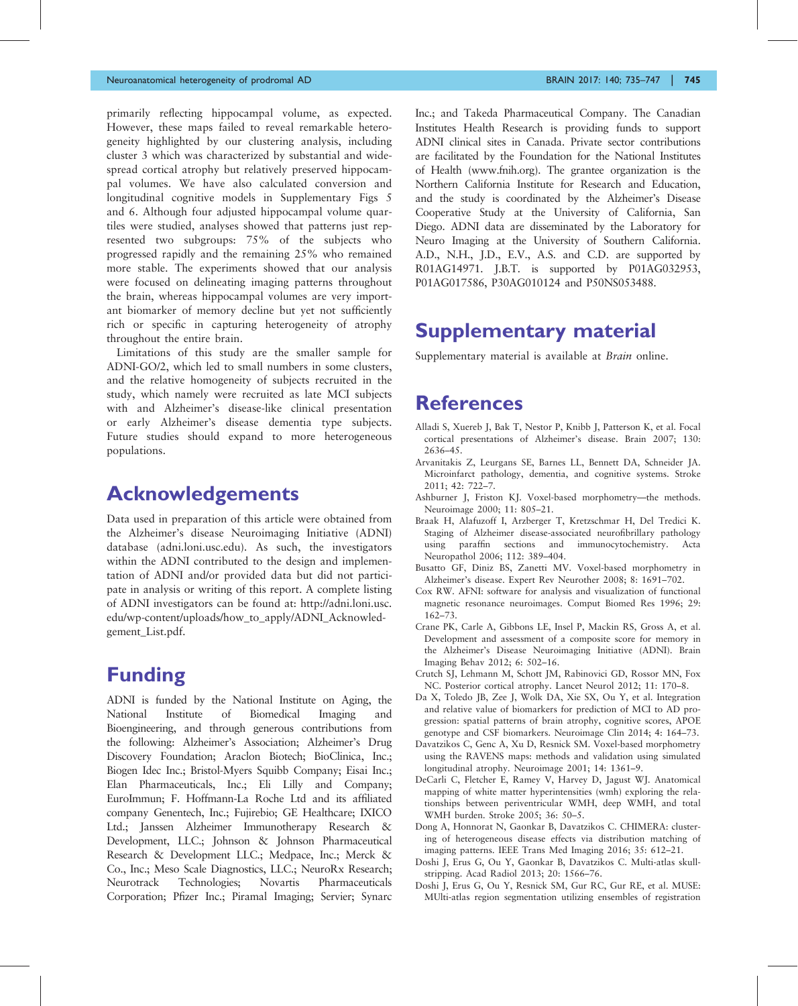<span id="page-10-0"></span>primarily reflecting hippocampal volume, as expected. However, these maps failed to reveal remarkable heterogeneity highlighted by our clustering analysis, including cluster 3 which was characterized by substantial and widespread cortical atrophy but relatively preserved hippocampal volumes. We have also calculated conversion and longitudinal cognitive models in [Supplementary Figs 5](http://brain.oxfordjournals.org/lookup/suppl/doi:10.1093/brain/aww319/-/DC1) and [6](http://brain.oxfordjournals.org/lookup/suppl/doi:10.1093/brain/aww319/-/DC1). Although four adjusted hippocampal volume quartiles were studied, analyses showed that patterns just represented two subgroups: 75% of the subjects who progressed rapidly and the remaining 25% who remained more stable. The experiments showed that our analysis were focused on delineating imaging patterns throughout the brain, whereas hippocampal volumes are very important biomarker of memory decline but yet not sufficiently rich or specific in capturing heterogeneity of atrophy throughout the entire brain.

Limitations of this study are the smaller sample for ADNI-GO/2, which led to small numbers in some clusters, and the relative homogeneity of subjects recruited in the study, which namely were recruited as late MCI subjects with and Alzheimer's disease-like clinical presentation or early Alzheimer's disease dementia type subjects. Future studies should expand to more heterogeneous populations.

### Acknowledgements

Data used in preparation of this article were obtained from the Alzheimer's disease Neuroimaging Initiative (ADNI) database (adni.loni.usc.edu). As such, the investigators within the ADNI contributed to the design and implementation of ADNI and/or provided data but did not participate in analysis or writing of this report. A complete listing of ADNI investigators can be found at: [http://adni.loni.usc.](http://adni.loni.usc.edu/wp-content/uploads/how_to_apply/ADNI_Acknowledgement_List.pdf) [edu/wp-content/uploads/how\\_to\\_apply/ADNI\\_Acknowled](http://adni.loni.usc.edu/wp-content/uploads/how_to_apply/ADNI_Acknowledgement_List.pdf)[gement\\_List.pdf.](http://adni.loni.usc.edu/wp-content/uploads/how_to_apply/ADNI_Acknowledgement_List.pdf)

# Funding

ADNI is funded by the National Institute on Aging, the National Institute of Biomedical Imaging and Bioengineering, and through generous contributions from the following: Alzheimer's Association; Alzheimer's Drug Discovery Foundation; Araclon Biotech; BioClinica, Inc.; Biogen Idec Inc.; Bristol-Myers Squibb Company; Eisai Inc.; Elan Pharmaceuticals, Inc.; Eli Lilly and Company; EuroImmun; F. Hoffmann-La Roche Ltd and its affiliated company Genentech, Inc.; Fujirebio; GE Healthcare; IXICO Ltd.; Janssen Alzheimer Immunotherapy Research & Development, LLC.; Johnson & Johnson Pharmaceutical Research & Development LLC.; Medpace, Inc.; Merck & Co., Inc.; Meso Scale Diagnostics, LLC.; NeuroRx Research; Neurotrack Technologies; Novartis Pharmaceuticals Corporation; Pfizer Inc.; Piramal Imaging; Servier; Synarc

Inc.; and Takeda Pharmaceutical Company. The Canadian Institutes Health Research is providing funds to support ADNI clinical sites in Canada. Private sector contributions are facilitated by the Foundation for the National Institutes of Health ([www.fnih.org\)](www.fnih.org). The grantee organization is the Northern California Institute for Research and Education, and the study is coordinated by the Alzheimer's Disease Cooperative Study at the University of California, San Diego. ADNI data are disseminated by the Laboratory for Neuro Imaging at the University of Southern California. A.D., N.H., J.D., E.V., A.S. and C.D. are supported by R01AG14971. J.B.T. is supported by P01AG032953, P01AG017586, P30AG010124 and P50NS053488.

### Supplementary material

[Supplementary material](http://brain.oxfordjournals.org/lookup/suppl/doi:10.1093/brain/aww319/-/DC1) is available at *Brain* online.

### References

- Alladi S, Xuereb J, Bak T, Nestor P, Knibb J, Patterson K, et al. Focal cortical presentations of Alzheimer's disease. Brain 2007; 130: 2636–45.
- Arvanitakis Z, Leurgans SE, Barnes LL, Bennett DA, Schneider JA. Microinfarct pathology, dementia, and cognitive systems. Stroke 2011; 42: 722–7.
- Ashburner J, Friston KJ. Voxel-based morphometry—the methods. Neuroimage 2000; 11: 805–21.
- Braak H, Alafuzoff I, Arzberger T, Kretzschmar H, Del Tredici K. Staging of Alzheimer disease-associated neurofibrillary pathology using paraffin sections and immunocytochemistry. Acta Neuropathol 2006; 112: 389–404.
- Busatto GF, Diniz BS, Zanetti MV. Voxel-based morphometry in Alzheimer's disease. Expert Rev Neurother 2008; 8: 1691–702.
- Cox RW. AFNI: software for analysis and visualization of functional magnetic resonance neuroimages. Comput Biomed Res 1996; 29: 162–73.
- Crane PK, Carle A, Gibbons LE, Insel P, Mackin RS, Gross A, et al. Development and assessment of a composite score for memory in the Alzheimer's Disease Neuroimaging Initiative (ADNI). Brain Imaging Behav 2012; 6: 502–16.
- Crutch SJ, Lehmann M, Schott JM, Rabinovici GD, Rossor MN, Fox NC. Posterior cortical atrophy. Lancet Neurol 2012; 11: 170–8.
- Da X, Toledo JB, Zee J, Wolk DA, Xie SX, Ou Y, et al. Integration and relative value of biomarkers for prediction of MCI to AD progression: spatial patterns of brain atrophy, cognitive scores, APOE genotype and CSF biomarkers. Neuroimage Clin 2014; 4: 164–73.
- Davatzikos C, Genc A, Xu D, Resnick SM. Voxel-based morphometry using the RAVENS maps: methods and validation using simulated longitudinal atrophy. Neuroimage 2001; 14: 1361–9.
- DeCarli C, Fletcher E, Ramey V, Harvey D, Jagust WJ. Anatomical mapping of white matter hyperintensities (wmh) exploring the relationships between periventricular WMH, deep WMH, and total WMH burden. Stroke 2005; 36: 50–5.
- Dong A, Honnorat N, Gaonkar B, Davatzikos C. CHIMERA: clustering of heterogeneous disease effects via distribution matching of imaging patterns. IEEE Trans Med Imaging 2016; 35: 612–21.
- Doshi J, Erus G, Ou Y, Gaonkar B, Davatzikos C. Multi-atlas skullstripping. Acad Radiol 2013; 20: 1566–76.
- Doshi J, Erus G, Ou Y, Resnick SM, Gur RC, Gur RE, et al. MUSE: MUlti-atlas region segmentation utilizing ensembles of registration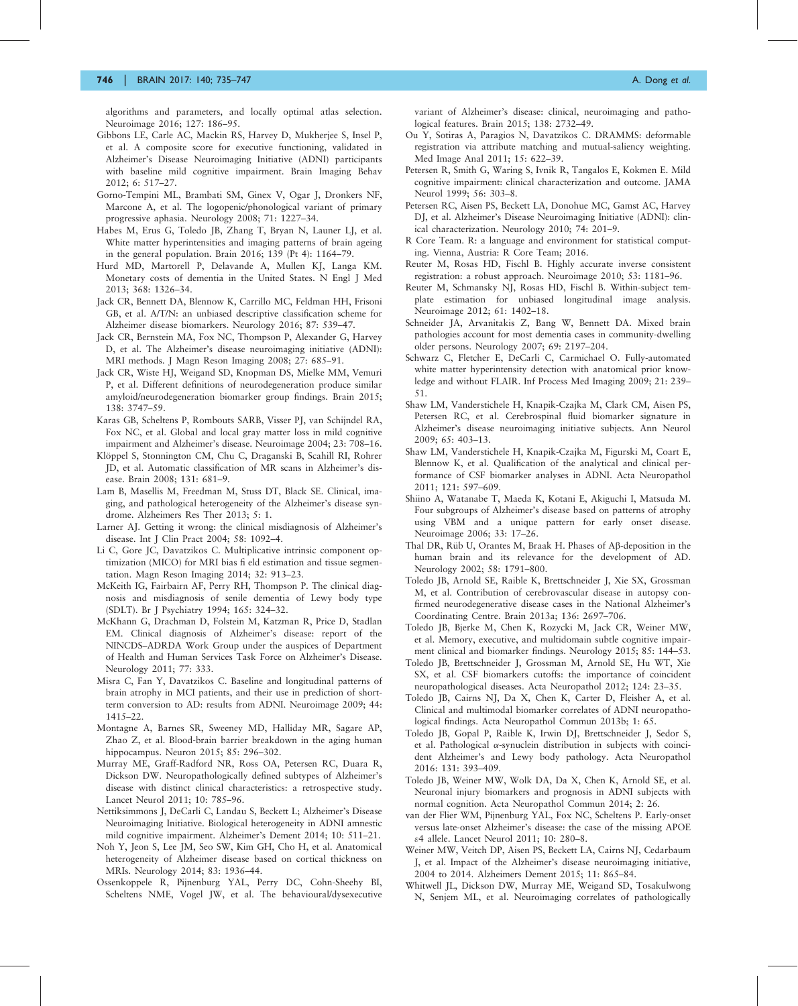<span id="page-11-0"></span>algorithms and parameters, and locally optimal atlas selection. Neuroimage 2016; 127: 186–95.

- Gibbons LE, Carle AC, Mackin RS, Harvey D, Mukherjee S, Insel P, et al. A composite score for executive functioning, validated in Alzheimer's Disease Neuroimaging Initiative (ADNI) participants with baseline mild cognitive impairment. Brain Imaging Behav 2012; 6: 517–27.
- Gorno-Tempini ML, Brambati SM, Ginex V, Ogar J, Dronkers NF, Marcone A, et al. The logopenic/phonological variant of primary progressive aphasia. Neurology 2008; 71: 1227–34.
- Habes M, Erus G, Toledo JB, Zhang T, Bryan N, Launer LJ, et al. White matter hyperintensities and imaging patterns of brain ageing in the general population. Brain 2016; 139 (Pt 4): 1164–79.
- Hurd MD, Martorell P, Delavande A, Mullen KJ, Langa KM. Monetary costs of dementia in the United States. N Engl J Med 2013; 368: 1326–34.
- Jack CR, Bennett DA, Blennow K, Carrillo MC, Feldman HH, Frisoni GB, et al. A/T/N: an unbiased descriptive classification scheme for Alzheimer disease biomarkers. Neurology 2016; 87: 539–47.
- Jack CR, Bernstein MA, Fox NC, Thompson P, Alexander G, Harvey D, et al. The Alzheimer's disease neuroimaging initiative (ADNI): MRI methods. J Magn Reson Imaging 2008; 27: 685–91.
- Jack CR, Wiste HJ, Weigand SD, Knopman DS, Mielke MM, Vemuri P, et al. Different definitions of neurodegeneration produce similar amyloid/neurodegeneration biomarker group findings. Brain 2015; 138: 3747–59.
- Karas GB, Scheltens P, Rombouts SARB, Visser PJ, van Schijndel RA, Fox NC, et al. Global and local gray matter loss in mild cognitive impairment and Alzheimer's disease. Neuroimage 2004; 23: 708–16.
- Klöppel S, Stonnington CM, Chu C, Draganski B, Scahill RI, Rohrer JD, et al. Automatic classification of MR scans in Alzheimer's disease. Brain 2008; 131: 681–9.
- Lam B, Masellis M, Freedman M, Stuss DT, Black SE. Clinical, imaging, and pathological heterogeneity of the Alzheimer's disease syndrome. Alzheimers Res Ther 2013; 5: 1.
- Larner AJ. Getting it wrong: the clinical misdiagnosis of Alzheimer's disease. Int J Clin Pract 2004; 58: 1092–4.
- Li C, Gore JC, Davatzikos C. Multiplicative intrinsic component optimization (MICO) for MRI bias fi eld estimation and tissue segmentation. Magn Reson Imaging 2014; 32: 913–23.
- McKeith IG, Fairbairn AF, Perry RH, Thompson P. The clinical diagnosis and misdiagnosis of senile dementia of Lewy body type (SDLT). Br J Psychiatry 1994; 165: 324–32.
- McKhann G, Drachman D, Folstein M, Katzman R, Price D, Stadlan EM. Clinical diagnosis of Alzheimer's disease: report of the NINCDS–ADRDA Work Group under the auspices of Department of Health and Human Services Task Force on Alzheimer's Disease. Neurology 2011; 77: 333.
- Misra C, Fan Y, Davatzikos C. Baseline and longitudinal patterns of brain atrophy in MCI patients, and their use in prediction of shortterm conversion to AD: results from ADNI. Neuroimage 2009; 44: 1415–22.
- Montagne A, Barnes SR, Sweeney MD, Halliday MR, Sagare AP, Zhao Z, et al. Blood-brain barrier breakdown in the aging human hippocampus. Neuron 2015; 85: 296–302.
- Murray ME, Graff-Radford NR, Ross OA, Petersen RC, Duara R, Dickson DW. Neuropathologically defined subtypes of Alzheimer's disease with distinct clinical characteristics: a retrospective study. Lancet Neurol 2011; 10: 785–96.
- Nettiksimmons J, DeCarli C, Landau S, Beckett L; Alzheimer's Disease Neuroimaging Initiative. Biological heterogeneity in ADNI amnestic mild cognitive impairment. Alzheimer's Dement 2014; 10: 511–21.
- Noh Y, Jeon S, Lee JM, Seo SW, Kim GH, Cho H, et al. Anatomical heterogeneity of Alzheimer disease based on cortical thickness on MRIs. Neurology 2014; 83: 1936–44.
- Ossenkoppele R, Pijnenburg YAL, Perry DC, Cohn-Sheehy BI, Scheltens NME, Vogel JW, et al. The behavioural/dysexecutive

variant of Alzheimer's disease: clinical, neuroimaging and pathological features. Brain 2015; 138: 2732–49.

- Ou Y, Sotiras A, Paragios N, Davatzikos C. DRAMMS: deformable registration via attribute matching and mutual-saliency weighting. Med Image Anal 2011; 15: 622–39.
- Petersen R, Smith G, Waring S, Ivnik R, Tangalos E, Kokmen E. Mild cognitive impairment: clinical characterization and outcome. JAMA Neurol 1999; 56: 303–8.
- Petersen RC, Aisen PS, Beckett LA, Donohue MC, Gamst AC, Harvey DJ, et al. Alzheimer's Disease Neuroimaging Initiative (ADNI): clinical characterization. Neurology 2010; 74: 201–9.
- R Core Team. R: a language and environment for statistical computing. Vienna, Austria: R Core Team; 2016.
- Reuter M, Rosas HD, Fischl B. Highly accurate inverse consistent registration: a robust approach. Neuroimage 2010; 53: 1181–96.
- Reuter M, Schmansky NJ, Rosas HD, Fischl B. Within-subject template estimation for unbiased longitudinal image analysis. Neuroimage 2012; 61: 1402–18.
- Schneider JA, Arvanitakis Z, Bang W, Bennett DA. Mixed brain pathologies account for most dementia cases in community-dwelling older persons. Neurology 2007; 69: 2197–204.
- Schwarz C, Fletcher E, DeCarli C, Carmichael O. Fully-automated white matter hyperintensity detection with anatomical prior knowledge and without FLAIR. Inf Process Med Imaging 2009; 21: 239– 51.
- Shaw LM, Vanderstichele H, Knapik-Czajka M, Clark CM, Aisen PS, Petersen RC, et al. Cerebrospinal fluid biomarker signature in Alzheimer's disease neuroimaging initiative subjects. Ann Neurol 2009; 65: 403–13.
- Shaw LM, Vanderstichele H, Knapik-Czajka M, Figurski M, Coart E, Blennow K, et al. Qualification of the analytical and clinical performance of CSF biomarker analyses in ADNI. Acta Neuropathol 2011; 121: 597–609.
- Shiino A, Watanabe T, Maeda K, Kotani E, Akiguchi I, Matsuda M. Four subgroups of Alzheimer's disease based on patterns of atrophy using VBM and a unique pattern for early onset disease. Neuroimage 2006; 33: 17–26.
- Thal DR, Rüb U, Orantes M, Braak H. Phases of A $\beta$ -deposition in the human brain and its relevance for the development of AD. Neurology 2002; 58: 1791–800.
- Toledo JB, Arnold SE, Raible K, Brettschneider J, Xie SX, Grossman M, et al. Contribution of cerebrovascular disease in autopsy confirmed neurodegenerative disease cases in the National Alzheimer's Coordinating Centre. Brain 2013a; 136: 2697–706.
- Toledo JB, Bjerke M, Chen K, Rozycki M, Jack CR, Weiner MW, et al. Memory, executive, and multidomain subtle cognitive impairment clinical and biomarker findings. Neurology 2015; 85: 144–53.
- Toledo JB, Brettschneider J, Grossman M, Arnold SE, Hu WT, Xie SX, et al. CSF biomarkers cutoffs: the importance of coincident neuropathological diseases. Acta Neuropathol 2012; 124: 23–35.
- Toledo JB, Cairns NJ, Da X, Chen K, Carter D, Fleisher A, et al. Clinical and multimodal biomarker correlates of ADNI neuropathological findings. Acta Neuropathol Commun 2013b; 1: 65.
- Toledo JB, Gopal P, Raible K, Irwin DJ, Brettschneider J, Sedor S, et al. Pathological  $\alpha$ -synuclein distribution in subjects with coincident Alzheimer's and Lewy body pathology. Acta Neuropathol 2016: 131: 393–409.
- Toledo JB, Weiner MW, Wolk DA, Da X, Chen K, Arnold SE, et al. Neuronal injury biomarkers and prognosis in ADNI subjects with normal cognition. Acta Neuropathol Commun 2014; 2: 26.
- van der Flier WM, Pijnenburg YAL, Fox NC, Scheltens P. Early-onset versus late-onset Alzheimer's disease: the case of the missing APOE  $\varepsilon$ 4 allele. Lancet Neurol 2011; 10: 280-8.
- Weiner MW, Veitch DP, Aisen PS, Beckett LA, Cairns NJ, Cedarbaum J, et al. Impact of the Alzheimer's disease neuroimaging initiative, 2004 to 2014. Alzheimers Dement 2015; 11: 865–84.
- Whitwell IL, Dickson DW, Murray ME, Weigand SD, Tosakulwong N, Senjem ML, et al. Neuroimaging correlates of pathologically